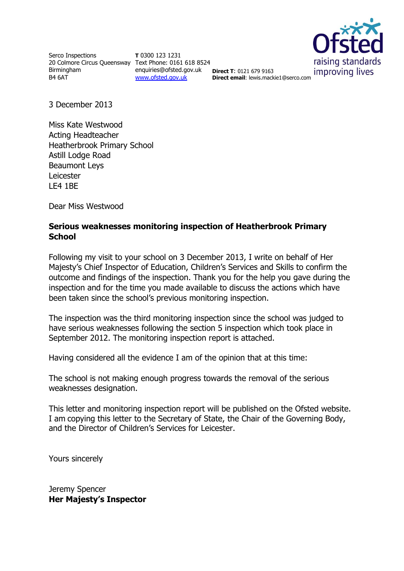Serco Inspections 20 Colmore Circus Queensway Text Phone: 0161 618 8524 Birmingham B4 6AT

**T** 0300 123 1231 enquiries@ofsted.gov.uk **Direct T**: 0121 679 9163 [www.ofsted.gov.uk](http://www.ofsted.gov.uk/)



**Direct email**: lewis.mackie1@serco.com

3 December 2013

Miss Kate Westwood Acting Headteacher Heatherbrook Primary School Astill Lodge Road Beaumont Leys Leicester LE4 1BE

Dear Miss Westwood

#### **Serious weaknesses monitoring inspection of Heatherbrook Primary School**

Following my visit to your school on 3 December 2013, I write on behalf of Her Majesty's Chief Inspector of Education, Children's Services and Skills to confirm the outcome and findings of the inspection. Thank you for the help you gave during the inspection and for the time you made available to discuss the actions which have been taken since the school's previous monitoring inspection.

The inspection was the third monitoring inspection since the school was judged to have serious weaknesses following the section 5 inspection which took place in September 2012. The monitoring inspection report is attached.

Having considered all the evidence I am of the opinion that at this time:

The school is not making enough progress towards the removal of the serious weaknesses designation.

This letter and monitoring inspection report will be published on the Ofsted website. I am copying this letter to the Secretary of State, the Chair of the Governing Body, and the Director of Children's Services for Leicester.

Yours sincerely

Jeremy Spencer **Her Majesty's Inspector**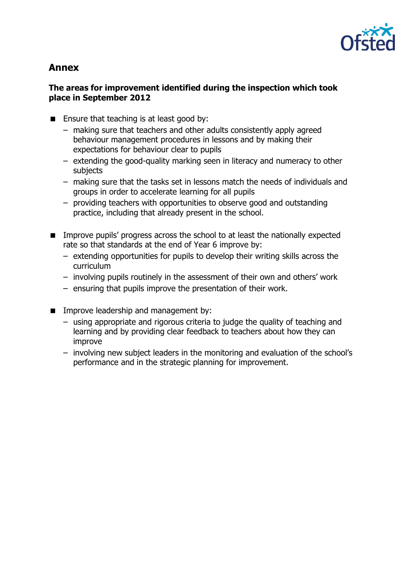

# **Annex**

### **The areas for improvement identified during the inspection which took place in September 2012**

- **Ensure that teaching is at least good by:** 
	- making sure that teachers and other adults consistently apply agreed behaviour management procedures in lessons and by making their expectations for behaviour clear to pupils
	- extending the good-quality marking seen in literacy and numeracy to other subjects
	- making sure that the tasks set in lessons match the needs of individuals and groups in order to accelerate learning for all pupils
	- providing teachers with opportunities to observe good and outstanding practice, including that already present in the school.
- **IMPROVE PUPILS' progress across the school to at least the nationally expected** rate so that standards at the end of Year 6 improve by:
	- extending opportunities for pupils to develop their writing skills across the curriculum
	- involving pupils routinely in the assessment of their own and others' work
	- ensuring that pupils improve the presentation of their work.
- **IMPROVE leadership and management by:** 
	- using appropriate and rigorous criteria to judge the quality of teaching and learning and by providing clear feedback to teachers about how they can improve
	- involving new subject leaders in the monitoring and evaluation of the school's performance and in the strategic planning for improvement.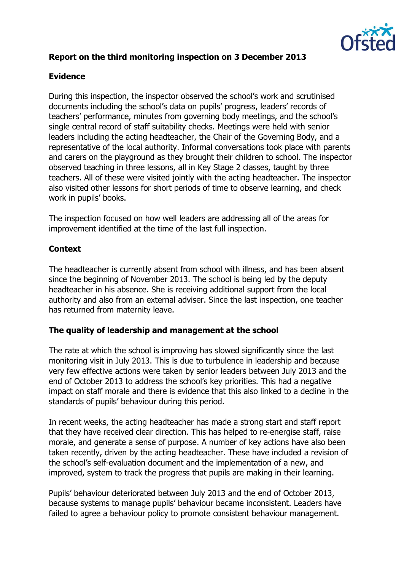

# **Report on the third monitoring inspection on 3 December 2013**

# **Evidence**

During this inspection, the inspector observed the school's work and scrutinised documents including the school's data on pupils' progress, leaders' records of teachers' performance, minutes from governing body meetings, and the school's single central record of staff suitability checks. Meetings were held with senior leaders including the acting headteacher, the Chair of the Governing Body, and a representative of the local authority. Informal conversations took place with parents and carers on the playground as they brought their children to school. The inspector observed teaching in three lessons, all in Key Stage 2 classes, taught by three teachers. All of these were visited jointly with the acting headteacher. The inspector also visited other lessons for short periods of time to observe learning, and check work in pupils' books.

The inspection focused on how well leaders are addressing all of the areas for improvement identified at the time of the last full inspection.

# **Context**

The headteacher is currently absent from school with illness, and has been absent since the beginning of November 2013. The school is being led by the deputy headteacher in his absence. She is receiving additional support from the local authority and also from an external adviser. Since the last inspection, one teacher has returned from maternity leave.

# **The quality of leadership and management at the school**

The rate at which the school is improving has slowed significantly since the last monitoring visit in July 2013. This is due to turbulence in leadership and because very few effective actions were taken by senior leaders between July 2013 and the end of October 2013 to address the school's key priorities. This had a negative impact on staff morale and there is evidence that this also linked to a decline in the standards of pupils' behaviour during this period.

In recent weeks, the acting headteacher has made a strong start and staff report that they have received clear direction. This has helped to re-energise staff, raise morale, and generate a sense of purpose. A number of key actions have also been taken recently, driven by the acting headteacher. These have included a revision of the school's self-evaluation document and the implementation of a new, and improved, system to track the progress that pupils are making in their learning.

Pupils' behaviour deteriorated between July 2013 and the end of October 2013, because systems to manage pupils' behaviour became inconsistent. Leaders have failed to agree a behaviour policy to promote consistent behaviour management.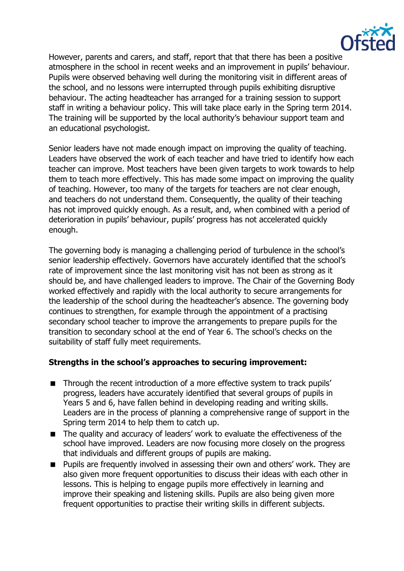

However, parents and carers, and staff, report that that there has been a positive atmosphere in the school in recent weeks and an improvement in pupils' behaviour. Pupils were observed behaving well during the monitoring visit in different areas of the school, and no lessons were interrupted through pupils exhibiting disruptive behaviour. The acting headteacher has arranged for a training session to support staff in writing a behaviour policy. This will take place early in the Spring term 2014. The training will be supported by the local authority's behaviour support team and an educational psychologist.

Senior leaders have not made enough impact on improving the quality of teaching. Leaders have observed the work of each teacher and have tried to identify how each teacher can improve. Most teachers have been given targets to work towards to help them to teach more effectively. This has made some impact on improving the quality of teaching. However, too many of the targets for teachers are not clear enough, and teachers do not understand them. Consequently, the quality of their teaching has not improved quickly enough. As a result, and, when combined with a period of deterioration in pupils' behaviour, pupils' progress has not accelerated quickly enough.

The governing body is managing a challenging period of turbulence in the school's senior leadership effectively. Governors have accurately identified that the school's rate of improvement since the last monitoring visit has not been as strong as it should be, and have challenged leaders to improve. The Chair of the Governing Body worked effectively and rapidly with the local authority to secure arrangements for the leadership of the school during the headteacher's absence. The governing body continues to strengthen, for example through the appointment of a practising secondary school teacher to improve the arrangements to prepare pupils for the transition to secondary school at the end of Year 6. The school's checks on the suitability of staff fully meet requirements.

#### **Strengths in the school's approaches to securing improvement:**

- Through the recent introduction of a more effective system to track pupils' progress, leaders have accurately identified that several groups of pupils in Years 5 and 6, have fallen behind in developing reading and writing skills. Leaders are in the process of planning a comprehensive range of support in the Spring term 2014 to help them to catch up.
- The quality and accuracy of leaders' work to evaluate the effectiveness of the school have improved. Leaders are now focusing more closely on the progress that individuals and different groups of pupils are making.
- **Pupils are frequently involved in assessing their own and others' work. They are** also given more frequent opportunities to discuss their ideas with each other in lessons. This is helping to engage pupils more effectively in learning and improve their speaking and listening skills. Pupils are also being given more frequent opportunities to practise their writing skills in different subjects.